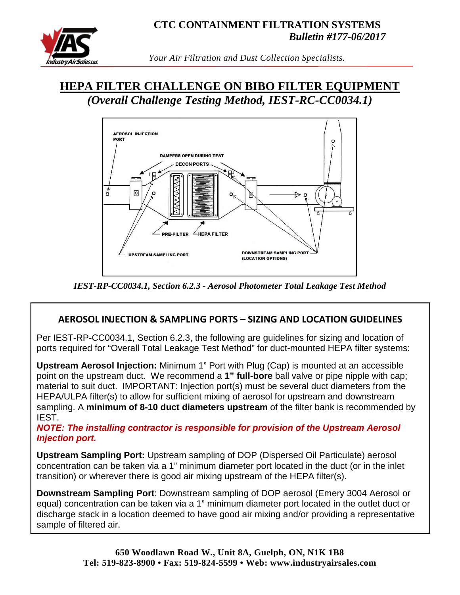

*Your Air Filtration and Dust Collection Specialists.* 

# **HEPA FILTER CHALLENGE ON BIBO FILTER EQUIPMENT**  *(Overall Challenge Testing Method, IEST-RC-CC0034.1)*



*IEST-RP-CC0034.1, Section 6.2.3 - Aerosol Photometer Total Leakage Test Method* 

## **AEROSOL INJECTION & SAMPLING PORTS – SIZING AND LOCATION GUIDELINES**

Per IEST-RP-CC0034.1, Section 6.2.3, the following are guidelines for sizing and location of ports required for "Overall Total Leakage Test Method" for duct-mounted HEPA filter systems:

**Upstream Aerosol Injection:** Minimum 1" Port with Plug (Cap) is mounted at an accessible point on the upstream duct. We recommend a **1" full-bore** ball valve or pipe nipple with cap; material to suit duct. IMPORTANT: Injection port(s) must be several duct diameters from the HEPA/ULPA filter(s) to allow for sufficient mixing of aerosol for upstream and downstream sampling. A **minimum of 8-10 duct diameters upstream** of the filter bank is recommended by IEST.

#### *NOTE: The installing contractor is responsible for provision of the Upstream Aerosol Injection port.*

**Upstream Sampling Port:** Upstream sampling of DOP (Dispersed Oil Particulate) aerosol concentration can be taken via a 1" minimum diameter port located in the duct (or in the inlet transition) or wherever there is good air mixing upstream of the HEPA filter(s).

**Downstream Sampling Port**: Downstream sampling of DOP aerosol (Emery 3004 Aerosol or equal) concentration can be taken via a 1" minimum diameter port located in the outlet duct or discharge stack in a location deemed to have good air mixing and/or providing a representative sample of filtered air.